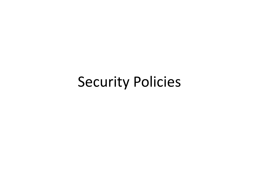### Security Policies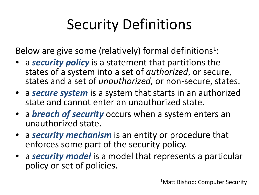## Security Definitions

Below are give some (relatively) formal definitions<sup>1</sup>:

- a *security policy* is a statement that partitions the states of a system into a set of *authorized*, or secure, states and a set of *unauthorized*, or non-secure, states.
- a *secure system* is a system that starts in an authorized state and cannot enter an unauthorized state.
- a *breach of security* occurs when a system enters an unauthorized state.
- a *security mechanism* is an entity or procedure that enforces some part of the security policy.
- a *security model* is a model that represents a particular policy or set of policies.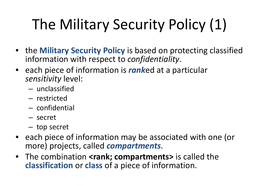# The Military Security Policy (1)

- the **Military Security Policy** is based on protecting classified information with respect to *confidentiality*.
- each piece of information is *rank*ed at a particular *sensitivity* level:
	- unclassified
	- restricted
	- confidential
	- secret
	- top secret
- each piece of information may be associated with one (or more) projects, called *compartments*.
- The combination **<rank; compartments>** is called the **classification** or **class** of a piece of information.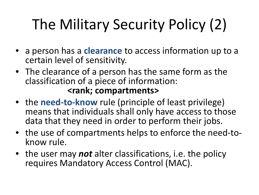# The Military Security Policy (2)

- a person has a **clearance** to access information up to a certain level of sensitivity.
- The clearance of a person has the same form as the classification of a piece of information: **<rank; compartments>**
- the **need-to-know** rule (principle of least privilege) means that individuals shall only have access to those data that they need in order to perform their jobs.
- the use of compartments helps to enforce the need-to- know rule.
- the user may *not* alter classifications, i.e. the policy requires Mandatory Access Control (MAC).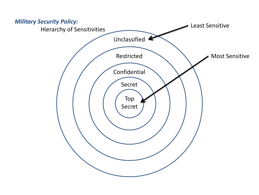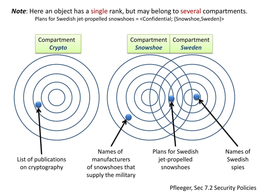*Note*: Here an object has a single rank, but may belong to several compartments. Plans for Swedish jet-propelled snowshoes = <Confidential; {Snowshoe,Sweden}>

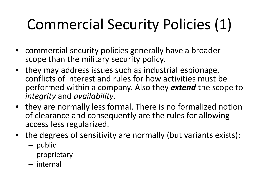# Commercial Security Policies (1)

- commercial security policies generally have a broader scope than the military security policy.
- they may address issues such as industrial espionage, conflicts of interest and rules for how activities must be performed within a company. Also they *extend* the scope to *integrity* and *availability*.
- they are normally less formal. There is no formalized notion of clearance and consequently are the rules for allowing access less regularized.
- the degrees of sensitivity are normally (but variants exists):
	- public
	- proprietary
	- internal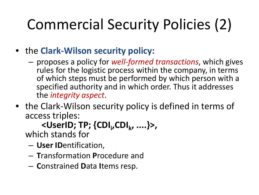# Commercial Security Policies (2)

- the **Clark-Wilson security policy:**
	- proposes a policy for *well-formed transactions*, which gives rules for the logistic process within the company, in terms of which steps must be performed by which person with a specified authority and in which order. Thus it addresses the *integrity aspect*.
- the Clark-Wilson security policy is defined in terms of access triples:

#### **<UserID; TP; {CDIi ,CDIk, ....}>,**

which stands for

- **User ID**entification,
- **T**ransformation **P**rocedure and
- **C**onstrained **D**ata **I**tems resp.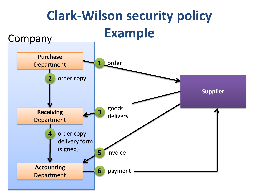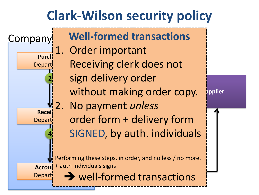#### **Clark-Wilson security policy**

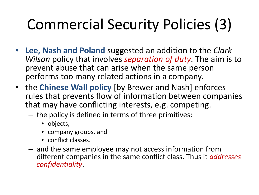# Commercial Security Policies (3)

- **Lee, Nash and Poland** suggested an addition to the *Clark- Wilson* policy that involves *separation of duty*. The aim is to prevent abuse that can arise when the same person performs too many related actions in a company.
- the **Chinese Wall policy** [by Brewer and Nash] enforces rules that prevents flow of information between companies that may have conflicting interests, e.g. competing.
	- the policy is defined in terms of three primitives:
		- objects,
		- company groups, and
		- conflict classes.
	- and the same employee may not access information from different companies in the same conflict class. Thus it *addresses confidentiality*.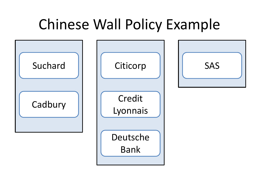### Chinese Wall Policy Example

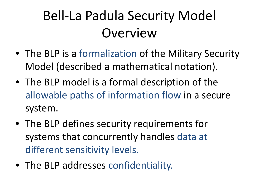### Bell-La Padula Security Model **Overview**

- The BLP is a formalization of the Military Security Model (described a mathematical notation).
- The BLP model is a formal description of the allowable paths of information flow in a secure system.
- The BLP defines security requirements for systems that concurrently handles data at different sensitivity levels.
- The BLP addresses confidentiality.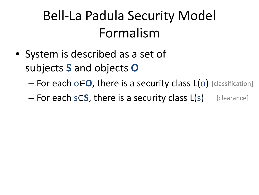### Bell-La Padula Security Model Formalism

- System is described as a set of subjects **S** and objects **O**
	- For each o∈**O**, there is a security class L(o) [classification]

– For each s∈**S**, there is a security class L(s) [clearance]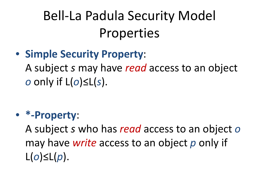## Bell-La Padula Security Model Properties

• **Simple Security Property**:

A subject *s* may have *read* access to an object *o* only if L(*o*)≤L(*s*).

#### • **\*-Property**:

A subject *s* who has *read* access to an object *o* may have *write* access to an object *p* only if L(*o*)≤L(*p*).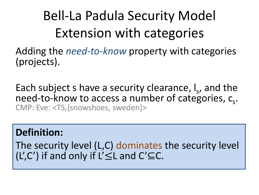## Bell-La Padula Security Model Extension with categories

Adding the *need-to-know* property with categories (projects).

Each subject s have a security clearance,  $I_s$ , and the need-to-know to access a number of categories,  $c_s$ .<br>CMP: Eve: <TS,{snowshoes, sweden}>

#### **Definition:**

The security level (L,C) dominates the security level (L',C') if and only if L' $\leq$ L and C' $\subseteq$ C.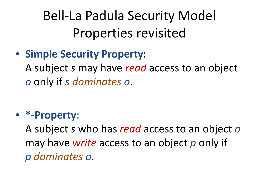## Bell-La Padula Security Model Properties revisited

#### • **Simple Security Property**:

A subject *s* may have *read* access to an object *o* only if *s dominates o*.

#### • **\*-Property**:

A subject *s* who has *read* access to an object *o* may have *write* access to an object *p* only if *p dominates o*.